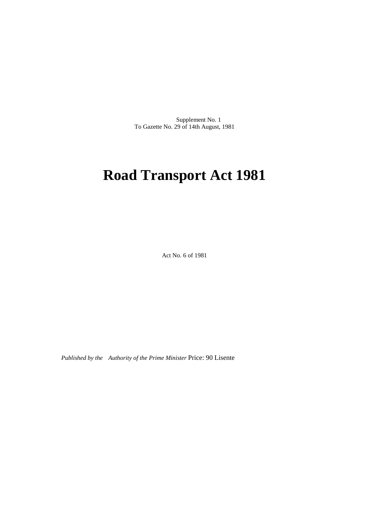Supplement No. 1 To Gazette No. 29 of 14th August, 1981

# **Road Transport Act 1981**

Act No. 6 of 1981

*Published by the Authority of the Prime Minister* Price: 90 Lisente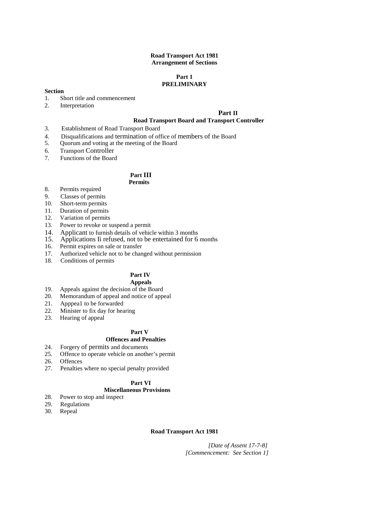# **Road Transport Act 1981 Arrangement of Sections**

## **Part 1 PRELIMINARY**

# **Section**

- 1. Short title and commencement<br>2. Interpretation
- **Interpretation**

# **Part II**

# **Road Transport Board and Transport Controller**

- 3. Establishment of Road Transport Board
- 4. Disqualifications and termination of office of members of the Board<br>5. Ouorum and voting at the meeting of the Board
- 5. Quorum and voting at the meeting of the Board
- 6. Transport Controller
- 7. Functions of the Board

# **Part III**

# **Permits**

- 8. Permits required
- 9. Classes of permits
- 10. Short-term permits
- 11. Duration of permits
- 12. Variation of permits
- 13. Power to revoke or suspend a permit
- 14. Applicant to furnish details of vehicle within 3 months 15. Applications Ii refused, not to be entertained for 6
- Applications Ii refused, not to be entertained for 6 months
- 16. Permit expires on sale or transfer
- 17. Authorized vehicle not to be changed without permission
- 18. Conditions of permits

# **Part IV**

- **Appeals**
- 19. Appeals against the decision of the Board
- 20. Memorandum of appeal and notice of appeal<br>21. Apppeal to be forwarded
- 21. Apppeal to be forwarded<br>22. Minister to fix day for hea
- Minister to fix day for hearing
- 23. Hearing of appeal

# **Part V**

# **Offences and Penalties**

- 24. Forgery of permits and documents
- 25. Offence to operate vehicle on another's permit
- 26. Offences
- 27. Penalties where no special penalty provided

# **Part VI**

# **Miscellaneous Provisions**

- 28. Power to stop and inspect
- 29. Regulations
- 30. Repeal

# **Road Transport Act 1981**

*[Date of Assent 17-7-8] [Commencement: See Section 1]*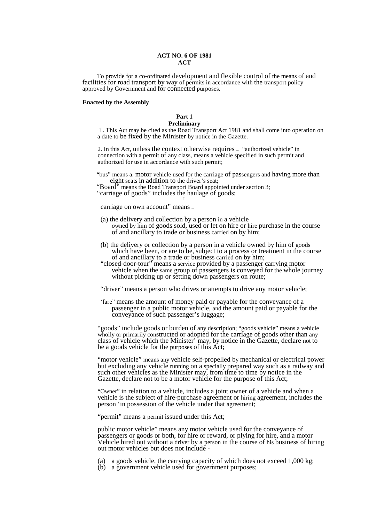## **ACT NO. 6 OF 1981 ACT**

To provide for a co-ordinated development and flexible control of the means of and facilities for road transport by way of permits in accordance with the transport policy approved by Government and for connected purposes.

#### **Enacted by the Assembly**

#### **Part 1 Preliminary**

 1. This Act may be cited as the Road Transport Act 1981 and shall come into operation on a date to be fixed by the Minister by notice in the Gazette.

 2. In this Act, unless the context otherwise requires — "authorized vehicle" in connection with a permit of any class, means a vehicle specified in such permit and authorized for use in accordance with such permit;

"bus" means a. motor vehicle used for the carriage of passengers and having more than eight seats in addition to the driver's seat;

"Board" means the Road Transport Board appointed under section 3;

"carriage of goods" includes the haulage of goods;

carriage on own account" means —

- (a) the delivery and collection by a person in a vehicle owned by him of goods sold, used or let on hire or hire purchase in the course of and ancillary to trade or business carried on by him;
- (b) the delivery or collection by a person in a vehicle owned by him of goods which have been, or are to be, subject to a process or treatment in the course of and ancillary to a trade or business carried on by him;
- "closed-door-tour" means a service provided by a passenger carrying motor vehicle when the same group of passengers is conveyed for the whole journey without picking up or setting down passengers on route;

"driver" means a person who drives or attempts to drive any motor vehicle;

'fare" means the amount of money paid or payable for the conveyance of a passenger in a public motor vehicle, and the amount paid or payable for the conveyance of such passenger's luggage;

"goods" include goods or burden of any description; "goods vehicle" means a vehicle wholly or primarily constructed or adopted for the carriage of goods other than any class of vehicle which the Minister' may, by notice in the Gazette, declare not to be a goods vehicle for the purposes of this Act;

"motor vehicle" means any vehicle self-propelled by mechanical or electrical power but excluding any vehicle running on a specially prepared way such as a railway and such other vehicles as the Minister may, from time to time by notice in the Gazette, declare not to be a motor vehicle for the purpose of this Act;

"Owner" in relation to a vehicle, includes a joint owner of a vehicle and when a vehicle is the subject of hire-purchase agreement or hiring agreement, includes the person 'in possession of the vehicle under that agreement;

"permit" means a permit issued under this Act;

public motor vehicle" means any motor vehicle used for the conveyance of passengers or goods or both, for hire or reward, or plying for hire, and a motor Vehicle hired out without a driver by a person in the course of his business of hiring out motor vehicles but does not include -

(a) a goods vehicle, the carrying capacity of which does not exceed 1,000 kg; (b) a government vehicle used for government purposes;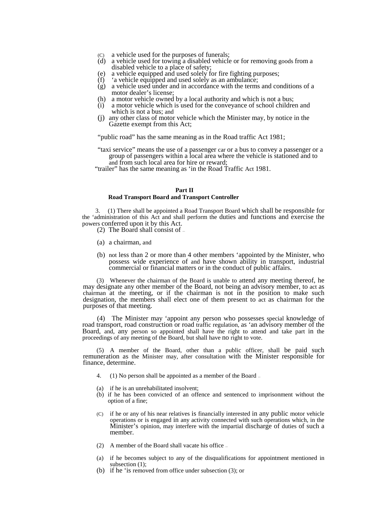- (C) a vehicle used for the purposes of funerals;
- (d) a vehicle used for towing a disabled vehicle or for removing goods from a disabled vehicle to a place of safety;
- (e) a vehicle equipped and used solely for fire fighting purposes;
- 'a vehicle equipped and used solely as an ambulance;
- (g) a vehicle used under and in accordance with the terms and conditions of a motor dealer's license;
- (h) a motor vehicle owned by a local authority and which is not a bus;
- (i) a motor vehicle which is used for the conveyance of school children and which is not a bus; and
- (j) any other class of motor vehicle which the Minister may, by notice in the Gazette exempt from this Act;

"public road" has the same meaning as in the Road traffic Act 1981;

"taxi service" means the use of a passenger car or a bus to convey a passenger or a group of passengers within a local area where the vehicle is stationed and to and from such local area for hire or reward;

"trailer" has the same meaning as 'in the Road Traffic Act 1981.

### **Part II**

#### **Road Transport Board and Transport Controller**

3. (1) There shall be appointed a Road Transport Board which shall be responsible for the 'administration of this Act and shall perform the duties and functions and exercise the powers conferred upon it by this Act.

(2) The Board shall consist of —

- (a) a chairman, and
- (b) not less than 2 or more than 4 other members 'appointed by the Minister, who possess wide experience of and have shown ability in transport, industrial commercial or financial matters or in the conduct of public affairs.

(3) Whenever the chairman of the Board is unable to attend any meeting thereof, he may designate any other member of the Board, not being an advisory member, to act as chairman at the meeting, or if the chairman is not in the position to make such designation, the members shall elect one of them present to act as chairman for the purposes of that meeting.

(4) The Minister may 'appoint any person who possesses special knowledge of road transport, road construction or road traffic regulation, as 'an advisory member of the Board, and, any person so appointed shall have the right to attend and take part in the proceedings of any meeting of the Board, but shall have no right to vote.

(5) A member of the Board, other than a public officer, shall be paid such remuneration as the Minister may, after consultation with the Minister responsible for finance, determine.

- $(1)$  No person shall be appointed as a member of the Board  $=$
- (a) if he is an unrehabilitated insolvent;
- (b) if he has been convicted of an offence and sentenced to imprisonment without the option of a fine;
- (C) if he or any of his near relatives is financially interested in any public motor vehicle operations or is engaged in any activity connected with such operations which, in the Minister's opinion, may interfere with the impartial discharge of duties of such a member.
- (2) A member of the Board shall vacate his office —
- (a) if he becomes subject to any of the disqualifications for appointment mentioned in subsection  $(1)$ ;
- (b) if he 'is removed from office under subsection (3); or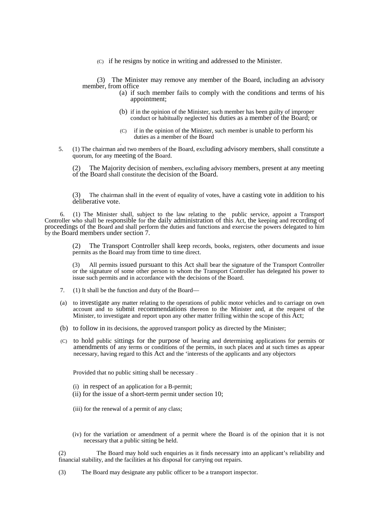(C) if he resigns by notice in writing and addressed to the Minister.

(3) The Minister may remove any member of the Board, including an advisory member, from office

- (a) if such member fails to comply with the conditions and terms of his appointment;
- (b) if in the opinion of the Minister, such member has been guilty of improper conduct or habitually neglected his duties as a member of the Board; or
- (C) if in the opinion of the Minister, such member is unable to perform his duties as a member of the Board
- . 5. (1) The chairman and two members of the Board, excluding advisory members, shall constitute a quorum, for any meeting of the Board.

The Majority decision of members, excluding advisory members, present at any meeting of the Board shall constitute the decision of the Board.

(3) The chairman shall in the event of equality of votes, have a casting vote in addition to his deliberative vote.

6. (1) The Minister shall, subject to the law relating to the public service, appoint a Transport Controller who shall be responsible for the daily administration of this Act, the keeping and recording of proceedings of the Board and shall perform the duties and functions and exercise the powers delegated to him by the Board members under section 7.

(2) The Transport Controller shall keep records, books, registers, other documents and issue permits as the Board may from time to time direct.

(3) All permits issued pursuant to this Act shall bear the signature of the Transport Controller or the signature of some other person to whom the Transport Controller has delegated his power to issue such permits and in accordance with the decisions of the Board.

- 7. (1) It shall be the function and duty of the Board—
- (a) to investigate any matter relating to the operations of public motor vehicles and to carriage on own account and to submit recommendations thereon to the Minister and, at the request of the Minister, to investigate and report upon any other matter frilling within the scope of this Act;
- (b) to follow in its decisions, the approved transport policy as directed by the Minister;
- (C) to hold public sittings for the purpose of hearing and determining applications for permits or amendments of any terms or conditions of the permits, in such places and at such times as appear necessary, having regard to this Act and the 'interests of the applicants and any objectors

Provided that no public sitting shall be necessary —

- (i) in respect of an application for a B-permit;
- (ii) for the issue of a short-term permit under section 10;
- (iii) for the renewal of a permit of any class;
- (iv) for the variation or amendment of a permit where the Board is of the opinion that it is not necessary that a public sitting be held.

(2) The Board may hold such enquiries as it finds necessary into an applicant's reliability and financial stability, and the facilities at his disposal for carrying out repairs.

(3) The Board may designate any public officer to be a transport inspector.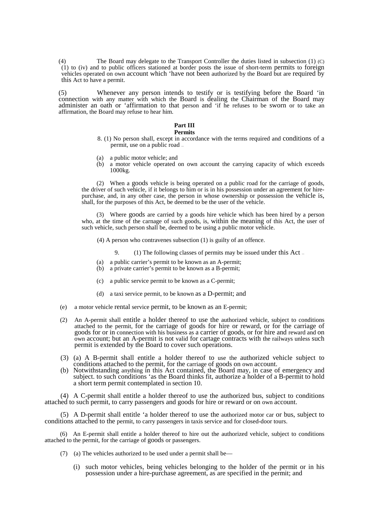(4) The Board may delegate to the Transport Controller the duties listed in subsection (1) (C) (1) to (iv) and to public officers stationed at border posts the issue of short-term permits to foreign vehicles operated on own account which 'have not been authorized by the Board but are required by this Act to have a permit.

(5) Whenever any person intends to testify or is testifying before the Board 'in connection with any matter with which the Board is dealing the Chairman of the Board may administer an oath or 'affirmation to that person and 'if he refuses to be sworn or to take an affirmation, the Board may refuse to hear him.

## **Part III**

# **Permits**

- 8. (1) No person shall, except in accordance with the terms required and conditions of a permit, use on a public road —
- (a) a public motor vehicle; and
- (b) a motor vehicle operated on own account the carrying capacity of which exceeds 1000kg.

(2) When a goods vehicle is being operated on a public road for the carriage of goods, the driver of such vehicle, if it belongs to him or is in his possession under an agreement for hirepurchase, and, in any other case, the person in whose ownership or possession the vehicle is, shall, for the purposes of this Act, be deemed to be the user of the vehicle.

(3) Where goods are carried by a goods hire vehicle which has been hired by a person who, at the time of the carnage of such goods, is, within the meaning of this Act, the user of such vehicle, such person shall be, deemed to be using a public motor vehicle.

(4) A person who contravenes subsection (1) is guilty of an offence.

9. (1) The following classes of permits may be issued under this Act —

- (a) a public carrier's permit to be known as an A-permit;
- (b) a private carrier's permit to be known as a B-permit;
- (c) a public service permit to be known as a C-permit;
- (d) a taxi service permit, to be known as a D-permit; and
- (e) a motor vehicle rental service permit, to be known as an E-permit;
- (2) An A-permit shall entitle a holder thereof to use the authorized vehicle, subject to conditions attached to the permit, for the carriage of goods for hire or reward, or for the carriage of goods for or in connection with his business as a carrier of goods, or for hire and reward and on own account; but an A-permit is not valid for cartage contracts with the railways unless such permit is extended by the Board to cover such operations.
- (3) (a) A B-permit shall entitle a holder thereof to use the authorized vehicle subject to conditions attached to the permit, for the carriage of goods on own account.
- (b) Notwithstanding anything in this Act contained, the Board may, in case of emergency and subject. to such conditions 'as the Board thinks fit, authorize a holder of a B-permit to hold a short term permit contemplated in section 10.

(4) A C-permit shall entitle a holder thereof to use the authorized bus, subject to conditions attached to such permit, to carry passengers and goods for hire or reward or on own account.

(5) A D-permit shall entitle 'a holder thereof to use the authorized motor car or bus, subject to conditions attached to the permit, to carry passengers in taxis service and for closed-door tours.

(6) An E-permit shall entitle a holder thereof to hire out the authorized vehicle, subject to conditions attached to the permit, for the carriage of goods or passengers.

- (7) (a) The vehicles authorized to be used under a permit shall be—
	- (i) such motor vehicles, being vehicles belonging to the holder of the permit or in his possession under a hire-purchase agreement, as are specified in the permit; and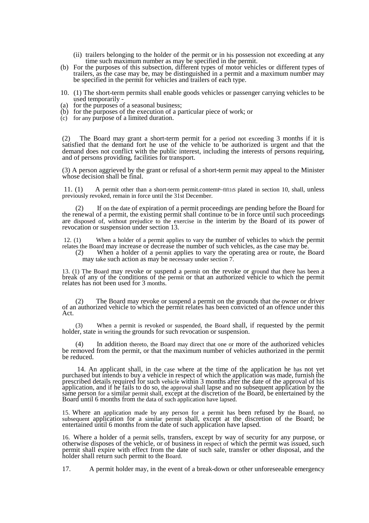- (ii) trailers belonging to the holder of the permit or in his possession not exceeding at any time such maximum number as may be specified in the permit.
- (b) For the purposes of this subsection, different types of motor vehicles or different types of trailers, as the case may be, may be distinguished in a permit and a maximum number may be specified in the permit for vehicles and trailers of each type.
- 10. (1) The short-term permits shall enable goods vehicles or passenger carrying vehicles to be used temporarily -
- (a) for the purposes of a seasonal business;
- (b) for the purposes of the execution of a particular piece of work; or
- (c) for any purpose of a limited duration.

(2) The Board may grant a short-term permit for a period not exceeding 3 months if it is satisfied that the demand fort he use of the vehicle to be authorized is urgent and that the demand does not conflict with the public interest, including the interests of persons requiring, and of persons providing, facilities for transport.

(3) A person aggrieved by the grant or refusal of a short-term permit may appeal to the Minister whose decision shall be final.

 11. (1) A permit other than a short-term permit.contemP~flfl1tS plated in section 10, shall, unless previously revoked, remain in force until the 31st December.

(2) If on the date of expiration of a permit proceedings are pending before the Board for the renewal of a permit, the existing permit shall continue to be in force until such proceedings are disposed of, without prejudice to the exercise in the interim by the Board of its power of revocation or suspension under section 13.

 12. (1) When a holder of a permit applies to vary the number of vehicles to which the permit relates the Board may increase or decrease the number of such vehicles, as the case may be.

(2) When a holder of a permit applies to vary the operating area or route, the Board may take such action as may be necessary under section 7.

13. (1) The Board may revoke or suspend a permit on the revoke or ground that there has been a break of any of the conditions of the permit or that an authorized vehicle to which the permit relates has not been used for 3 months.

(2) The Board may revoke or suspend a permit on the grounds that the owner or driver of an authorized vehicle to which the permit relates has been convicted of an offence under this Act.

(3) When a permit is revoked or suspended, the Board shall, if requested by the permit holder, state in writing the grounds for such revocation or suspension.

In addition thereto, the Board may direct that one or more of the authorized vehicles be removed from the permit, or that the maximum number of vehicles authorized in the permit be reduced.

 14. An applicant shall, in the case where at the time of the application he has not yet purchased but intends to buy a vehicle in respect of which the application was made, furnish the prescribed details required for such vehicle within 3 months after the date of the approval of his application, and if he fails to do so, the approval shall lapse and no subsequent application by the same person for a similar permit shall, except at the discretion of the Board, be entertained by the Board until 6 months from the data of such application have lapsed.

15. Where an application made by any person for a permit has been refused by the Board, no subsequent application for a similar permit shall, except at the discretion of the Board; be entertained until 6 months from the date of such application have lapsed.

16. Where a holder of a permit sells, transfers, except by way of security for any purpose, or otherwise disposes of the vehicle, or of business in respect of which the permit was issued, such permit shall expire with effect from the date of such sale, transfer or other disposal, and the holder shall return such permit to the Board.

17. A permit holder may, in the event of a break-down or other unforeseeable emergency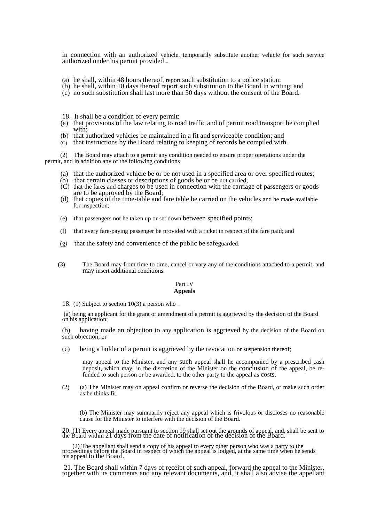in connection with an authorized vehicle, temporarily substitute another vehicle for such service authorized under his permit provided —

- (a) he shall, within 48 hours thereof, report such substitution to a police station;
- (b) he shall, within 10 days thereof report such substitution to the Board in writing; and
- (c) no such substitution shall last more than 30 days without the consent of the Board.
- 18. It shall be a condition of every permit:
- (a) that provisions of the law relating to road traffic and of permit road transport be complied with;
- (b) that authorized vehicles be maintained in a fit and serviceable condition; and
- (C) that instructions by the Board relating to keeping of records be compiled with.

(2) The Board may attach to a permit any condition needed to ensure proper operations under the permit, and in addition any of the following conditions

- (a) that the authorized vehicle be or be not used in a specified area or over specified routes;
- $(b)$  that certain classes or descriptions of goods be or be not carried;
- $(C)$  that the fares and charges to be used in connection with the carriage of passengers or goods are to be approved by the Board;
- (d) that copies of the time-table and fare table be carried on the vehicles and he made available for inspection;
- (e) that passengers not he taken up or set down between specified points;
- (f) that every fare-paying passenger be provided with a ticket in respect of the fare paid; and
- (g*)* that the safety and convenience of the public be safeguarded.
- (3) The Board may from time to time, cancel or vary any of the conditions attached to a permit, and may insert additional conditions.

## Part IV **Appeals**

18. (1) Subject to section 10(3) a person who  $-$ 

 (a) being an applicant for the grant or amendment of a permit is aggrieved by the decision of the Board on his application;

(b) having made an objection to any application is aggrieved by the decision of the Board on such objection; or

(c) being a holder of a permit is aggrieved by the revocation or suspension thereof;

may appeal to the Minister, and any such appeal shall he accompanied by a prescribed cash deposit, which may, in the discretion of the Minister on the conclusion of the appeal, be refunded to such person or be awarded. to the other party to the appeal as costs.

(2) (a) The Minister may on appeal confirm or reverse the decision of the Board, or make such order as he thinks fit.

(b) The Minister may summarily reject any appeal which is frivolous or discloses no reasonable cause for the Minister to interfere with the decision of the Board.

20. (1) Every appeal made pursuant to section 19 shall set out the grounds of appeal, and, shall be sent to the Board within 21 days from the date of notification of the decision of the Board.

 (2) The appellant shall send a copy of his appeal to every other person who was a party to the proceedings before the Board in respect of which the appeal is lodged, at the same time when he sends his appeal to the Board.

 21. The Board shall within 7 days of receipt of such appeal, forward the appeal to the Minister, together with its comments and any relevant documents, and, it shall also advise the appellant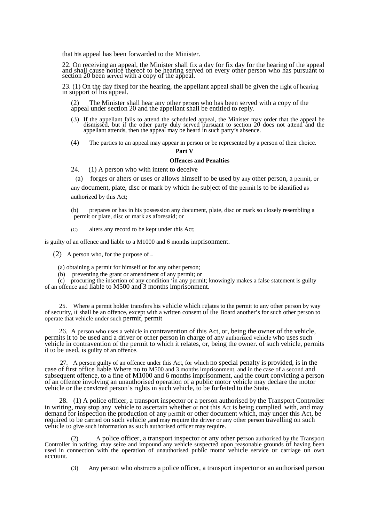that his appeal has been forwarded to the Minister.

22. On receiving an appeal, the Minister shall fix a day for fix day for the hearing of the appeal and shall cause notice thereof to be hearing served on every other person who has pursuant to section 20 been served with a copy of the appeal.

23. (1) On the day fixed for the hearing, the appellant appeal shall be given the right of hearing in support of his appeal.

(2) The Minister shall hear any other person who has been served with a copy of the appeal under section 20 and the appellant shall be entitled to reply.

- (3) If the appellant fails to attend the scheduled appeal, the Minister may order that the appeal be dismissed, but if the other party duly served pursuant to section  $20$  does not attend and the appellant attends, then the appeal may be heard in such party's absence.
- (4) The parties to an appeal may appear in person or be represented by a person of their choice.

#### **Part V**

# **Offences and Penalties**

24. (1) A person who with intent to deceive —

(a) forges or alters or uses or allows himself to be used by any other person, a permit, or any document, plate, disc or mark by which the subject of the permit is to be identified as authorized by this Act;

(b) prepares or has in his possession any document, plate, disc or mark so closely resembling a permit or plate, disc or mark as aforesaid; or

(C) alters any record to be kept under this Act;

is guilty of an offence and liable to a M1000 and 6 months imprisonment.

(2) A person who, for the purpose of  $\overline{\phantom{a}}$ 

(a) obtaining a permit for himself or for any other person;

(b) preventing the grant or amendment of any permit; or

(c) procuring the insertion of any condition 'in any permit; knowingly makes a false statement is guilty of an offence and liable to M500 and 3 months imprisonment.

25. Where a permit holder transfers his vehicle which relates to the permit to any other person by way of security, it shall be an offence, except with a written consent of the Board another's for such other person to operate that vehicle under such permit, permit

26. A person who uses a vehicle in contravention of this Act, or, being the owner of the vehicle, permits it to be used and a driver or other person in charge of any authorized vehicle who uses such vehicle in contravention of the permit to which it relates, or, being the owner. of such vehicle, permits it to be used, is guilty of an offence.

27. A person guilty of an offence under this Act, for which no special penalty is provided, is in the case of first office liable Where no to M500 and 3 months imprisonment, and in the case of a second and subsequent offence, to a fine of M1000 and 6 months imprisonment, and the court convicting a person of an offence involving an unauthorised operation of a public motor vehicle may declare the motor vehicle or the convicted person's rights in such vehicle, to be forfeited to the State.

28. (1) A police officer, a transport inspector or a person authorised by the Transport Controller in writing, may stop any vehicle to ascertain whether or not this Act is being complied with, and may demand for inspection the production of any permit or other document which, may under this Act, be required to be carried on such vehicle ,and may require the driver or any other person travelling on such vehicle to give such information as such authorised officer may require.

(2) A police officer, a transport inspector or any other person authorised by the Transport Controller in writing, may seize and impound any vehicle suspected upon reasonable grounds of having been used in connection with the operation of unauthorised public motor vehicle service or carriage on own account.

(3) Any person who obstructs a police officer, a transport inspector or an authorised person